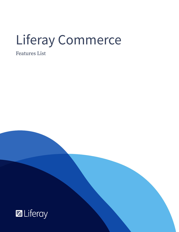# Liferay Commerce

Features List

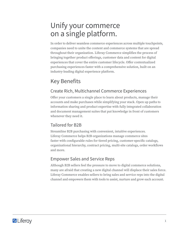## Unify your commerce on a single platform.

In order to deliver seamless commerce experiences across multiple touchpoints, companies need to unite the content and commerce systems that are spread throughout their organization. Liferay Commerce simplifies the process of bringing together product offerings, customer data and content for digital experiences that cover the entire customer lifecycle. Offer contextualized purchasing experiences faster with a comprehensive solution, built on an industry-leading digital experience platform.

## Key Benefits

#### Create Rich, Multichannel Commerce Experiences

Offer your customers a single place to learn about products, manage their accounts and make purchases while simplifying your stack. Open up paths to information sharing and product expertise with fully integrated collaboration and document management suites that put knowledge in front of customers whenever they need it.

#### Tailored for B2B

Streamline B2B purchasing with convenient, intuitive experiences. Liferay Commerce helps B2B organizations manage commerce sites faster with configurable rules for tiered pricing, customer-specific catalogs, organizational hierarchy, contract pricing, multi-site catalogs, order workflows and more.

#### Empower Sales and Service Reps

Although B2B sellers feel the pressure to move to digital commerce solutions, many are afraid that creating a new digital channel will displace their sales force. Liferay Commerce enables sellers to bring sales and service reps into the digital channel and empowers them with tools to assist, nurture and grow each account.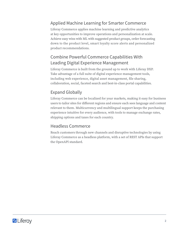#### Applied Machine Learning for Smarter Commerce

Liferay Commerce applies machine learning and predictive analytics at key opportunities to improve operations and personalization at scale. Achieve easy wins with ML with suggested product groups, order forecasting down to the product level, smart loyalty score alerts and personalized product recommendations.

#### Combine Powerful Commerce Capabilities With Leading Digital Experience Management

Liferay Commerce is built from the ground up to work with Liferay DXP. Take advantage of a full suite of digital experience management tools, including web experience, digital asset management, file sharing, collaboration, social, faceted search and best-in-class portal capabilities.

#### Expand Globally

Liferay Commerce can be localized for your markets, making it easy for business users to tailor sites for different regions and ensure each sees language and content relevant to them. Multicurrency and multilingual support keeps the purchasing experience intuitive for every audience, with tools to manage exchange rates, shipping options and taxes for each country.

#### Headless Commerce

Reach customers through new channels and disruptive technologies by using Liferay Commerce as a headless platform, with a set of REST APIs that support the OpenAPI standard.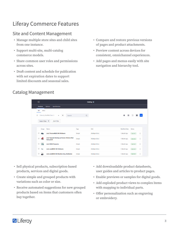## Liferay Commerce Features

#### Site and Content Management

- Manage multiple store sites and child sites from one instance.
- Support multi-site, multi-catalog commerce models.
- Share common user roles and permissions across sites.
- Draft content and schedule for publication with set expiration dates to support limited discounts and seasonal sales.
- Compare and restore previous versions of pages and product attachments.
- Preview content across devices for consistent, omnichannel experiences.
- Add pages and menus easily with site navigation and hierarchy tool.

#### Catalog Management

| $\Box$                                                                               |             | Catalog @       |                      |               |          |
|--------------------------------------------------------------------------------------|-------------|-----------------|----------------------|---------------|----------|
| <b>Options</b><br><b>Specifications</b><br><b>Products</b>                           |             |                 |                      |               |          |
| All<br><b>SKUs</b>                                                                   |             |                 |                      |               |          |
| c<br>Order by: Modified Date $\approx$<br>Search<br>▲<br>$\blacktriangledown$        | Q           |                 | $\bullet$<br>×       | 汪<br>囲        |          |
| <b>Add Filter</b><br>Select Filter ≑                                                 |             |                 |                      |               |          |
|                                                                                      |             |                 |                      |               |          |
| Name<br>Image                                                                        | <b>Type</b> | <b>SKU</b>      | <b>Modified Date</b> | <b>Status</b> |          |
| c<br>Leitz ThermoBIND 300 350sheets                                                  | Simple      | (Multiple SKUs) | 1 Month Ago          | Approved      | ŧ        |
| Leitz Topstyle Desktop perforator 25 sheets Red<br>$\Box$<br><b>ST</b><br>hole punch | Simple      | (Multiple SKUs) | 1 Month Ago          | Approved      | $\vdots$ |
| C<br>巉<br><b>Leitz WOW Turquoise</b>                                                 | Simple      | (Multiple SKUs) | 1 Month Ago          | Approved      | ÷        |
| $\Box$<br>Leitz comBIND 100 145sheets                                                | Simple      | (Multiple SKUs) | 1 Month Ago          | Approved      | ŧ        |
| $\Box$<br>Leitz comBIND 500 Machine Grey, Multicolor                                 | Simple      | (Multiple SKUs) | 1 Month Ago          | Approved      | ÷        |

- Sell physical products, subscription-based products, services and digital goods.
- Create simple and grouped products with variations such as color or size.
- Receive automated suggestions for new grouped products based on items that customers often buy together.
- Add downloadable product datasheets, user guides and articles to product pages.
- Enable previews or samples for digital goods.
- Add exploded product views to complex items with mapping to individual parts.
- Offer personalization such as engraving or embroidery.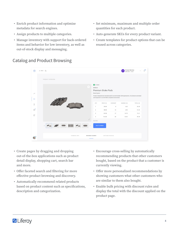- Enrich product information and optimize metadata for search engines.
- Assign products to multiple categories.
- Manage inventory with support for back-ordered items and behavior for low inventory, as well as out-of-stock display and messaging.
- Set minimum, maximum and multiple order quantities for each product.
- Auto-generate SKUs for every product variant.
- Create templates for product options that can be reused across categories.
- S Auto Service  $\Theta$  $\leftarrow$  Back  $\bigcap$  $149$ PRODUCT OVERVIEW n Stock BB98324 Premium Brake Pads **Brake System**  $\overline{\mathcal{N}}$ Product designed and manufactured to accommodate OEM applications. All products are tested ind inspected in an ISO-9000 compliant environment  $\Theta$ SAVINGS (\$) PRICE (\$) DISCOUNT TOTAL (\$)  $\mathbb{T}^{\circ}$ 29.00 2.32 26.68 é 58.00  $12$ 6.96 51.04 87.00  $17$ 14.79  $72.21$  $\mathbb{E}^0$ 116.00  $22$ 25.52 90.48 TECHNICAL INFO REFERENCE NUMBER MATCHING VEHICLES  $\mathcal{C}_{2}$

#### Catalog and Product Browsing

- Create pages by dragging and dropping out-of-the-box applications such as product detail display, shopping cart, search bar and more.
- Offer faceted search and filtering for more effective product browsing and discovery.
- Automatically recommend related products based on product content such as specifications, description and categorization.
- Encourage cross-selling by automatically recommending products that other customers bought, based on the product that a customer is currently viewing.
- Offer more personalized recommendations by showing customers what other customers who are similar to them also bought.
- Enable bulk pricing with discount rules and display the total with the discount applied on the product page.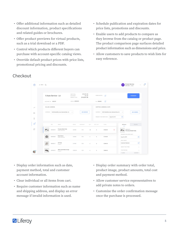- Offer additional information such as detailed discount information, product specifications and related guides or brochures.
- Offer product previews for virtual products, such as a trial download or a PDF.
- Control which products different buyers can purchase with account-specific catalog views.
- Override default product prices with price lists, promotional pricing and discounts.
- Schedule publication and expiration dates for price lists, promotions and discounts.
- Enable users to add products to compare as they browse from the catalog or product page. The product comparison page surfaces detailed product information such as dimensions and price.
- Allow customers to save products to wish lists for easy reference.

|                                                | $\leftarrow$ Back $Q$ |                   |                     |                                     |                                               |                                      |                |              |                         |                                     |                                       | S Auto Service<br>AR567834   Draft |                    | 149 |
|------------------------------------------------|-----------------------|-------------------|---------------------|-------------------------------------|-----------------------------------------------|--------------------------------------|----------------|--------------|-------------------------|-------------------------------------|---------------------------------------|------------------------------------|--------------------|-----|
|                                                |                       |                   | S Auto Service - LA |                                     | SUBTOTAL:<br>DISCOUNT:<br><b>GRAND TOTAL:</b> | \$59,301.00<br>0% Off<br>\$59,301.00 |                | ORDER NOTES  | E                       |                                     |                                       | <b>CHECKOUT</b>                    |                    |     |
|                                                |                       | ACCOUNT ID 435678 |                     |                                     | ORDER #589003                                 |                                      |                | PO #50000    | 四                       |                                     |                                       |                                    |                    |     |
| $\sim$                                         |                       | BILLING ADDRESS   |                     |                                     |                                               |                                      |                |              | SHIPPING ADDRESS & DATE |                                     |                                       |                                    |                    |     |
| $\ominus$                                      |                       | ADDRESS           |                     | 1400 Montefino Ave, Diamond Bar, CA | $\checkmark$                                  | <b>ADD ADDRESS</b>                   |                | ADDRESS      |                         | 1400 Montefino Ave, Diamond Bar, CA | $\checkmark$                          | <b>ADD ADDRESS</b>                 |                    |     |
| $\int_{0}^{0}$                                 |                       |                   |                     |                                     |                                               |                                      |                |              | REQUEST DELIVERY DATE   | Aug 24, 2019                        | 曲                                     |                                    |                    |     |
| ٠<br>目                                         |                       |                   | SKU                 | NAME                                | PRICE                                         | DISCOUNT                             | QTY:           | GIFT QTY.    | TOTAL                   |                                     | <b>DETAILS</b>                        | VALUES                             |                    |     |
| $\begin{bmatrix} 1 & 0 \\ 0 & 1 \end{bmatrix}$ |                       | <b>IF</b> and     | MIN93019            | Premium Brake Pads<br>Brake System  | \$29.00                                       | 10%                                  | 20             | $\mathbf{0}$ | \$522.00                | $\left( \mathbf{x}\right)$          |                                       | MIN93019<br>Premium Brake Pads     |                    |     |
|                                                |                       |                   | MIN93020            | <b>Brake Rotors</b><br>Brake System | \$40.00                                       | 10%                                  | $\sqrt{4}$     | $\circ$      | \$144.00                |                                     | Aug 24, 2019                          | REQUEST DELIVERY DATE              | □                  |     |
|                                                |                       |                   | MIN00677            | Oil Pump<br>Engine                  | \$79.00                                       | 10 <sup>9</sup>                      | $\ddot{a}$     | $\circ$      | \$284.40                |                                     | ADD A NOTE<br><b>Customer Restock</b> |                                    | E                  |     |
|                                                |                       |                   | AR385672            | Whit3 Label Matte Orange<br>Engine  | \$200.00                                      | 10%                                  | $\overline{4}$ | $\,0\,$      | \$800.00                |                                     | ABOUT THIS ITEM<br>TIER PRICING       |                                    | $\vee$<br>$\wedge$ |     |

**Checkout** 

- Display order information such as date, payment method, total and customer account information.
- Clear individual or all items from cart.
- Require customer information such as name and shipping address, and display an error message if invalid information is used.
- Display order summary with order total, product image, product amounts, total cost and payment method.
- Allow customer service representatives to add private notes to orders.
- Customize the order confirmation message once the purchase is processed.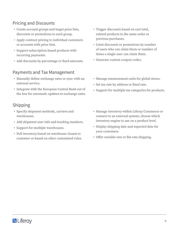#### Pricing and Discounts

- Create account groups and target price lists, discounts or promotions to each group.
- Apply contract pricing to individual customers or accounts with price lists.
- Support subscription-based products with recurring payments.
- Add discounts by percentage or fixed amounts.

#### Payments and Tax Management

- Manually define exchange rates or sync with an external service.
- Integrate with the European Central Bank out of the box for automatic updates to exchange rates.

#### Shipping

- Specify shipment methods, carriers and warehouses.
- Add shipment user info and tracking numbers.
- Support for multiple warehouses.
- Pull inventory based on warehouse closest to customer or based on other customized rules.
- Trigger discounts based on cart total, related products in the same order or previous purchases.
- Limit discounts or promotions by number of users who can claim them or number of times a single user can claim them.
- Generate custom coupon codes.
- Manage measurement units for global stores.
- Set tax rate by address or fixed rate.
- Support for multiple tax categories for products.
- Manage inventory within Liferay Commerce or connect to an external system; choose which inventory engine to use on a product level.
- Display shipping date and expected date for your customers.
- Offer variable rate or flat rate shipping.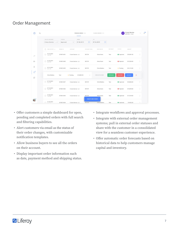#### Order Management

| $\alpha$                 |                                       |                           | PENDING ORDERS (34)                |                                   | PLACED ORDERS (21)     |                 | o               | S Auto Service<br>AR567834   Draft |                                       |
|--------------------------|---------------------------------------|---------------------------|------------------------------------|-----------------------------------|------------------------|-----------------|-----------------|------------------------------------|---------------------------------------|
|                          | SELECT ACCOUNT<br>S Auto Service -  v | <b>STATUS</b><br>Approved | FROM<br>07.04.2019<br>$\checkmark$ | 自                                 | TO.<br>曲<br>07.26.2019 |                 |                 |                                    |                                       |
|                          | CREATE DATE $\sqrt{}$<br>n            | ORDER ID                  | ACCOUNT                            | ACCOUNT CODE                      | CREATED BY             | REFERENT        | <b>STATUS</b>   | AMOUNT                             |                                       |
| $\sim$                   | 07.27.2019<br>0<br>10:43 AM           | 2018213431                | S Auto Service - LA                | 007274                            | Gloria Davis           | Test            | Approved        | \$59,301.00                        | ÷                                     |
| $\ominus$                | 07.26.2019<br>0<br>02:04 PM           | 2018213430                | S Auto Service - LA                | 007274                            | Gloria Davis           | Test            | Rejected        | \$57,023.00                        | ÷                                     |
| $\int_{0}^{0}$           | 07.21.2019<br>$\Box$<br>08:21 AM      | 2018213429                | S Auto Service - LA                | 007274                            | Chris Robbins          | Test            | Pending         | \$81,110.00                        | ÷                                     |
| ٠<br>目<br>$\mathbb{E}^0$ | Chris Robbins                         | Test                      | Pending<br>\$25,802.00             | $\rightarrow$                     | WORK ON THIS ORDER     | <b>APPROVED</b> | <b>REJECTED</b> | CHECKOUT                           | $\left( \mathbf{\overline{x}}\right)$ |
|                          | 07.10.2019<br>$\Box$<br>01:51 PM      | 2018213427                | S Auto Service - LA                | 007274                            | Chris Robbins          | Test            | Approved        | \$20,636.00                        | ÷                                     |
|                          | 07.10.2019<br>0<br>12:01 PM           | 2018213426                | S Auto Service - LA                | 007274                            | Gloria Davis           | Test            | Rejected        | \$45,544.00                        | ÷                                     |
|                          | 07.08.2019<br>0<br>11:43 AM           | 2018213425                | S Auto Service - LA                | 007274                            | Gloria Davis           | Test            | Approved        | \$72,129.00                        | ÷                                     |
|                          | 07.04.2019<br><b>MALAR ARE</b>        | 2018213424                | S Auto Service - LA                | <b>CREATE NEW ORDER</b><br>007274 | Chris Robbins          | Test            | Approved        | \$9,432.00                         | $\mathcal{C}_{\mathcal{C}}$           |

- Offer customers a simple dashboard for open, pending and completed orders with full search and filtering capabilities.
- Alert customers via email as the status of their order changes, with customizable notification templates.
- Allow business buyers to see all the orders on their account.
- Display important order information such as date, payment method and shipping status.
- Integrate workflows and approval processes.
- Integrate with external order management systems; pull in external order statuses and share with the customer in a consolidated view for a seamless customer experience.
- Offer automatic order forecasts based on historical data to help customers manage capital and inventory.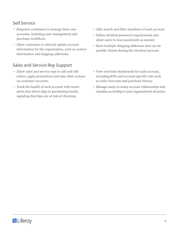#### Self Service

- Empower customers to manage their own accounts, including user management and purchase workflows.
- Allow customers to add and update account information for the organization, such as contact information and shipping addresses.

#### Sales and Service Rep Support

- Allow sales and service reps to add and edit orders, apply promotions and take other actions on customer accounts.
- Track the health of each account with smart alerts that detect dips in purchasing trends, signaling that they are at risk of churning.
- Add, search and filter members of each account.
- Define detailed password requirements and allow users to reset passwords as needed.
- Store multiple shipping addresses that can be quickly chosen during the checkout process.
- View real-time dashboards for each account, including KPIs and account-specific info such as order forecasts and purchase history.
- Manage many-to-many account relationships and visualize according to your organization's structure.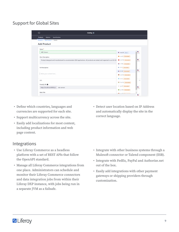#### Support for Global Sites

| <b>Products</b><br>Options       | <b>Specifications</b>                                                                                                 |                              |                   |
|----------------------------------|-----------------------------------------------------------------------------------------------------------------------|------------------------------|-------------------|
| Products / Add Product / Details |                                                                                                                       |                              |                   |
| <b>Add Product</b>               |                                                                                                                       |                              |                   |
| Name*                            |                                                                                                                       |                              |                   |
| ABS Sensor                       |                                                                                                                       | en_US Default                | $\frac{1}{2n-US}$ |
| <b>Short Description</b>         |                                                                                                                       | ca-ES Untranslated           |                   |
|                                  | Product designed and manufactured to accommodate OEM applications. All products are tested and inspected in an ISO-90 | 2h-CN Untranslated           | 里<br>$m$ -US      |
|                                  |                                                                                                                       | ni-NL Untranslated           |                   |
| <b>Full Description</b>          |                                                                                                                       | + fi-FI Untranslated         |                   |
|                                  |                                                                                                                       | <b>II</b> fr-FR Untranslated | 里<br>$en-US$      |
| Write your content here          |                                                                                                                       | de-DE Untranslated           |                   |
| SEO                              |                                                                                                                       | T iw-IL Untranslated         | $\checkmark$      |
| Friendly URL <sup>O</sup>        |                                                                                                                       | hu-HU Untranslated           |                   |
|                                  | abs-sensor                                                                                                            | · ja-JP Untranslated         | e.                |

- Define which countries, languages and currencies are supported for each site.
- Support multicurrency across the site.
- Easily add localizations for most content, including product information and web page content.

#### Integrations

- Use Liferay Commerce as a headless platform with a set of REST APIs that follow the OpenAPI standard.
- Manage all Liferay Commerce integrations from one place. Administrators can schedule and monitor their Liferay Commerce connectors and data integration jobs from within their Liferay DXP instance, with jobs being run in a separate JVM as a failsafe.

• Detect user location based on IP Address and automatically display the site in the correct language.

- Integrate with other business systems through a Mulesoft connector or Talend component (ESB).
- Integrate with FedEx, PayPal and Authorize.net out of the box.
- Easily add integrations with other payment gateways or shipping providers through customization.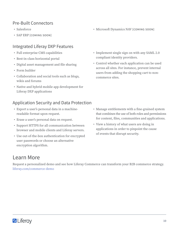#### Pre-Built Connectors

- Salesforce
- SAP ERP [COMING SOON]

#### Integrated Liferay DXP Features

- Full enterprise CMS capabilities
- Best-in-class horizontal portal
- Digital asset management and file sharing
- Form builder
- Collaboration and social tools such as blogs, wikis and forums
- Native and hybrid mobile app development for Liferay DXP applications

#### Application Security and Data Protection

- Export a user's personal data in a machinereadable format upon request.
- Erase a user's personal data on request.
- Support HTTPS for all communication between browser and mobile clients and Liferay servers.
- Use out-of-the-box authentication for encrypted user passwords or choose an alternative encryption algorithm.
- Manage entitlements with a fine-grained system that combines the use of both roles and permissions for content, files, communities and applications.
- View a history of what users are doing in applications in order to pinpoint the cause of events that disrupt security.

#### Learn More

Request a personalized demo and see how Liferay Commerce can transform your B2B commerce strategy. [liferay.com/commerce-demo](https://www.liferay.com/products/commerce/contact-sales?utm_source=whitepaper&utm_medium=content&utm_content=commerce%20product%20overview)

- Microsoft Dynamics NAV [COMING SOON]
- Implement single sign on with any SAML 2.0 compliant identity providers.
- Control whether each application can be used across all sites. For instance, prevent internal users from adding the shopping cart to noncommerce sites.